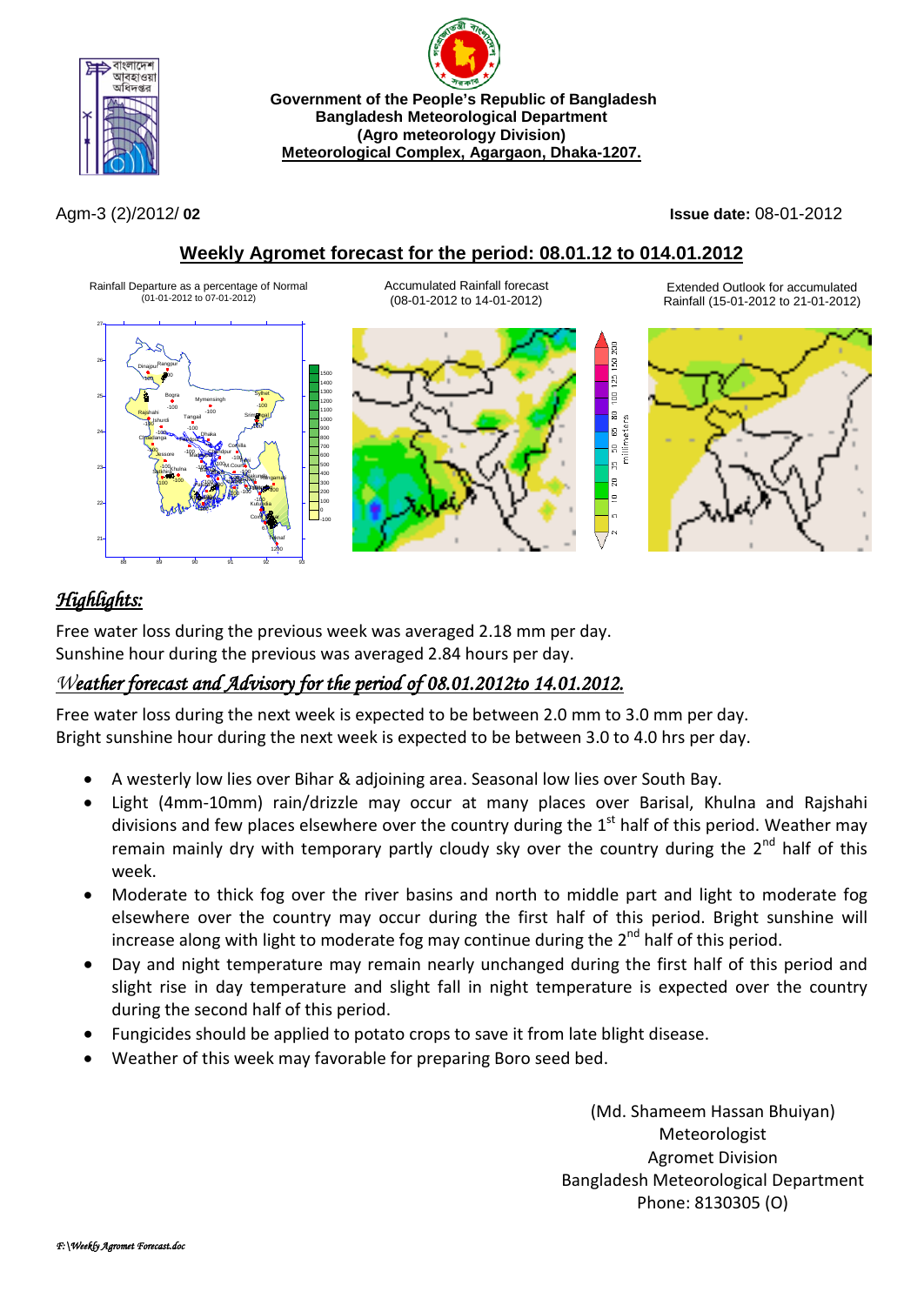



Agm-3 (2)/2012/ **02 Issue date:** 08-01-2012

### **Weekly Agromet forecast for the period: 08.01.12 to 014.01.2012**



# *Highlights:*

Free water loss during the previous week was averaged 2.18 mm per day. Sunshine hour during the previous was averaged 2.84 hours per day.

## *Weather forecast and Advisory for the period of 08.01.2012to 14.01.2012.*

Free water loss during the next week is expected to be between 2.0 mm to 3.0 mm per day. Bright sunshine hour during the next week is expected to be between 3.0 to 4.0 hrs per day.

- A westerly low lies over Bihar & adjoining area. Seasonal low lies over South Bay.
- Light (4mm-10mm) rain/drizzle may occur at many places over Barisal, Khulna and Rajshahi divisions and few places elsewhere over the country during the  $1<sup>st</sup>$  half of this period. Weather may remain mainly dry with temporary partly cloudy sky over the country during the  $2^{nd}$  half of this week.
- Moderate to thick fog over the river basins and north to middle part and light to moderate fog elsewhere over the country may occur during the first half of this period. Bright sunshine will increase along with light to moderate fog may continue during the  $2^{nd}$  half of this period.
- Day and night temperature may remain nearly unchanged during the first half of this period and slight rise in day temperature and slight fall in night temperature is expected over the country during the second half of this period.
- Fungicides should be applied to potato crops to save it from late blight disease.
- Weather of this week may favorable for preparing Boro seed bed.

(Md. Shameem Hassan Bhuiyan) Meteorologist Agromet Division Bangladesh Meteorological Department Phone: 8130305 (O)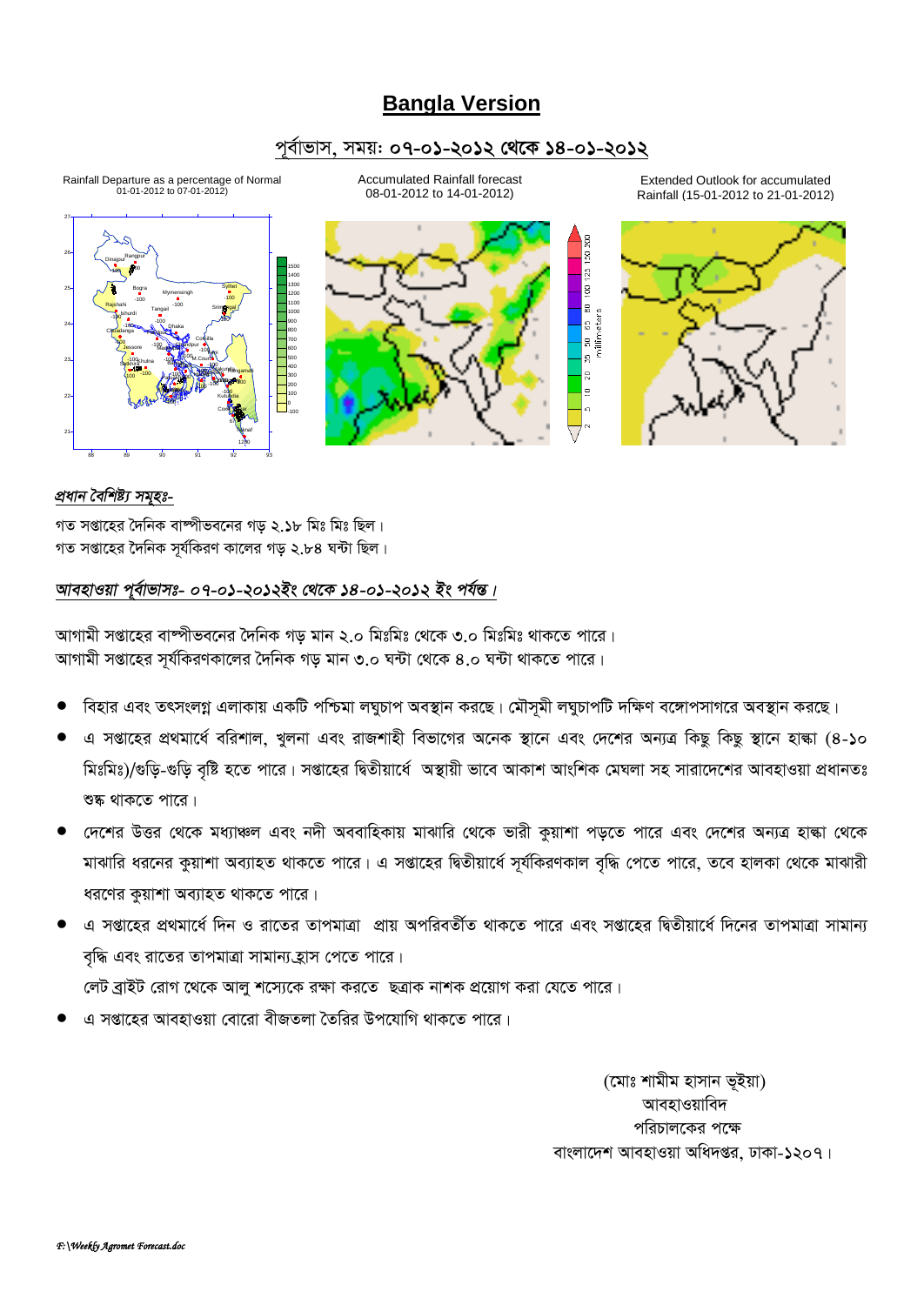## **Bangla Version**

#### *c~e©vfvm, mgq: 07-01-2012 †\_‡K 14-01-2012*

Accumulated Rainfall forecast Extended Outlook for accumulated Rainfall Departure as a percentage of Normal 01-01-2012 to 07-01-2012) 08-01-2012 to 14-01-2012) Rainfall (15-01-2012 to 21-01-2012) 27  $\overline{50}$ 26 Rangpur Dinajpur  $\frac{1}{25}$ -100 -100 15001400  $\frac{1}{2}$ 1300 Sylhet 25 Bogra Mymensingh 1200 -100 -100 1100 5 50 65 80<br>millimeters  $\overline{a}$ -100 Rajshahi <sub>Tangail</sub> 100 Srim**ginga**l Tangail 1000 Ishurdi  $-100 -100$   $-100$ -100 900 24 -100 Dhaka 800 Ch<mark>uad</mark>anga Faridpur \*\*\* Comilla 700 -100 -100 Chandpur **Jessore** Madaripur 600 -100 Feni is.  $100$ M.Court 500 23 -100 -100 Satkhira Bargarah Khulna -100 400 Sitakunda <sub>ngamati</sub> g -100 **Hatiya** gewe -100  $\frac{100}{100}$   $\frac{100}{100}$   $\frac{1000}{100}$ 300 Patuakhal Chittagong -100 -100  $40<sup>b-100</sup>$ 200 -100 Khepupara -100 100 22 Kutubdia -100  $\mathbf 0$ Coxs\_Bazar -100 67 Teknaf 21

#### *প্ৰধান বৈশিষ্ট্য সমৃহঃ-*

গত সপ্তাহের দৈনিক বাম্পীভবনের গড ২.১৮ মিঃ মিঃ ছিল।  $\frac{1}{2}$ সপ্তাহের দৈনিক সূর্যকিরণ কালের গড় ২.৮৪ ঘন্টা ছিল।

1200

88 89 90 91 92 93

#### *আবহাওয়া প্*ৰ্বাভাসঃ- ০৭-০১-২০১২ইং থেকে ১৪-০১-২০১২ ইং পৰ্যন্ত।

*AvMvgx mßv‡ni ev®úxfe‡bi ˆ`wbK Mo gvb 2.0 wgtwgt †\_‡K 3.0 wgtwgt \_vK‡Z cv‡i| AvMvgx mßv‡ni m~h©wKiYKv‡ji ˆ`wbK Mo gvb 3.0 N›Uv †\_‡K 4.0 N›Uv \_vK‡Z cv‡i|*

- বিহার এবং তৎসংলগ্ন এলাকায় একটি পশ্চিমা লঘুচাপ অবস্থান করছে। মৌসূমী লঘুচাপটি দক্ষিণ বঙ্গোপসাগরে অবস্থান করছে।
- *G mßv‡ni cÖ\_gv‡a© ewikvj, Lyjbv Ges ivRkvnx wefv‡Mi A‡bK ¯'v‡b Ges †`‡ki Ab¨Î wKQz wKQz ¯'v‡b nvév (4-10 মিঃমিঃ)/*গুড়ি-গুড়ি বৃষ্টি হতে পারে। সপ্তাহের দ্বিতীয়ার্ধে অস্থায়ী ভাবে আকাশ আংশিক মেঘলা সহ সারাদেশের আবহাওয়া প্রধানতঃ শুষ্ক থাকতে পারে।
- *দেশে*র উত্তর থেকে মধ্যাঞ্চল এবং নদী অববাহিকায় মাঝারি থেকে ভারী কুয়াশা পড়তে পারে এবং দেশের অন্যত্র হাল্কা থেকে মাঝারি ধরনের কুয়াশা অব্যাহত থাকতে পারে। এ সপ্তাহের দ্বিতীয়ার্ধে সূর্যকিরণকাল বৃদ্ধি পেতে পারে, তবে হালকা থেকে মাঝারী ধরণের কুয়াশা অব্যাহত থাকতে পারে।
- *G mßv‡ni cÖ\_gv‡a© w`b I iv‡Zi ZvcgvÎv cÖvq AcwieZx©Z \_vK‡Z cv‡i Ges mßv‡ni wØZxqv‡a© w`‡bi ZvcgvÎv mvgvb¨ বৃ*দ্ধি এবং রাতের তাপমাত্রা সামান্য*হ্*যাস পেতে পারে। *লেট ব্রাইট রোগ থেকে আলু শস্যেকে রক্ষা করতে* ছত্রাক নাশক প্রয়োগ করা যেতে পারে।
- *G mßv‡ni AvenvIqv †ev‡iv exRZjv ˆZwii Dc‡hvwM \_vK‡Z cv‡i|*

*(*মোঃ শামীম হাসান ভূইয়া) **আবহাওয়াবিদ** *প*রিচালকের পক্ষে বাংলাদেশ আবহাওয়া অধিদপ্তর, ঢাকা-১২০৭।